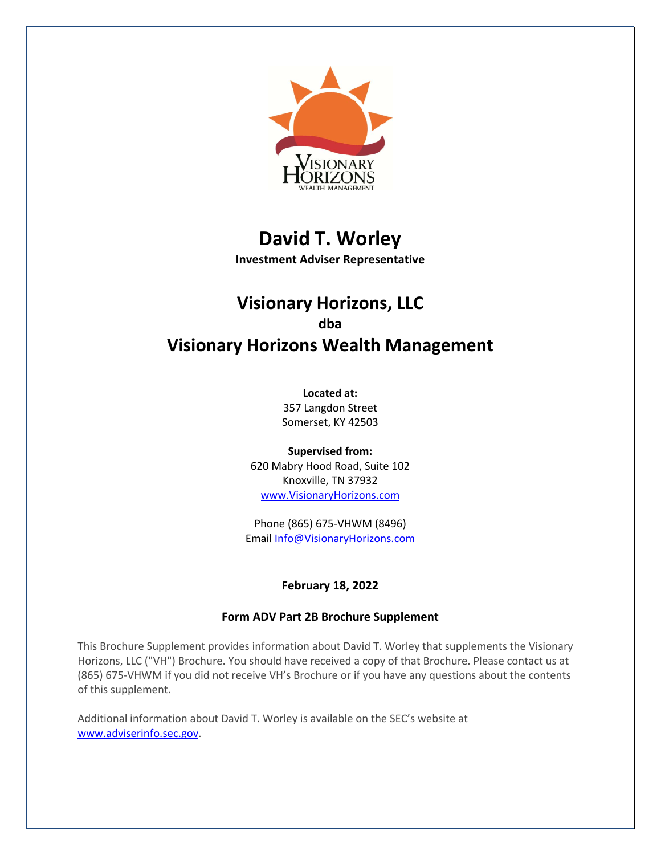

# **David T. Worley**

**Investment Adviser Representative**

## **Visionary Horizons, LLC dba Visionary Horizons Wealth Management**

**Located at:**

357 Langdon Street Somerset, KY 42503

**Supervised from:** 620 Mabry Hood Road, Suite 102 Knoxville, TN 37932 www.VisionaryHorizons.com

Phone (865) 675-VHWM (8496) Email Info@VisionaryHorizons.com

## **February 18, 2022**

## **Form ADV Part 2B Brochure Supplement**

This Brochure Supplement provides information about David T. Worley that supplements the Visionary Horizons, LLC ("VH") Brochure. You should have received a copy of that Brochure. Please contact us at (865) 675-VHWM if you did not receive VH's Brochure or if you have any questions about the contents of this supplement.

Additional information about David T. Worley is available on the SEC's website at www.adviserinfo.sec.gov.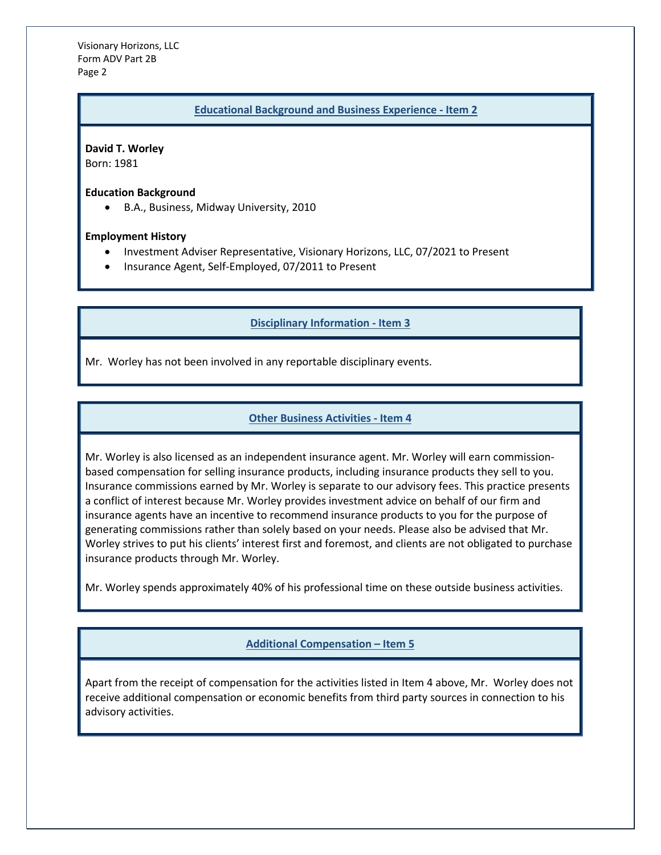Visionary Horizons, LLC Form ADV Part 2B Page 2

#### **Educational Background and Business Experience - Item 2**

**David T. Worley** Born: 1981

**Education Background**

• B.A., Business, Midway University, 2010

#### **Employment History**

- Investment Adviser Representative, Visionary Horizons, LLC, 07/2021 to Present
- Insurance Agent, Self-Employed, 07/2011 to Present

#### **Disciplinary Information - Item 3**

Mr. Worley has not been involved in any reportable disciplinary events.

#### **Other Business Activities - Item 4**

Mr. Worley is also licensed as an independent insurance agent. Mr. Worley will earn commissionbased compensation for selling insurance products, including insurance products they sell to you. Insurance commissions earned by Mr. Worley is separate to our advisory fees. This practice presents a conflict of interest because Mr. Worley provides investment advice on behalf of our firm and insurance agents have an incentive to recommend insurance products to you for the purpose of generating commissions rather than solely based on your needs. Please also be advised that Mr. Worley strives to put his clients' interest first and foremost, and clients are not obligated to purchase insurance products through Mr. Worley.

Mr. Worley spends approximately 40% of his professional time on these outside business activities.

## **Additional Compensation – Item 5**

Apart from the receipt of compensation for the activities listed in Item 4 above, Mr. Worley does not receive additional compensation or economic benefits from third party sources in connection to his advisory activities.